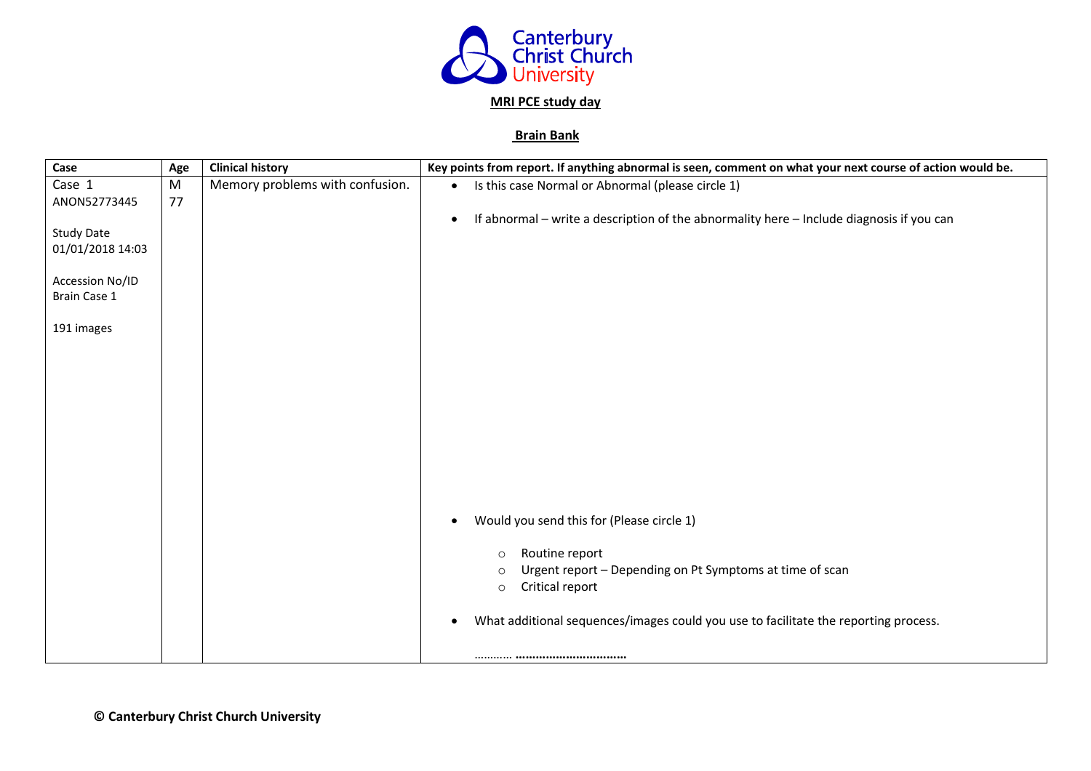

## **MRI PCE study day**

## **Brain Bank**

| Case              | Age | <b>Clinical history</b>         | Key points from report. If anything abnormal is seen, comment on what your next course of action would be. |
|-------------------|-----|---------------------------------|------------------------------------------------------------------------------------------------------------|
| Case 1            | M   | Memory problems with confusion. | Is this case Normal or Abnormal (please circle 1)<br>$\bullet$                                             |
| ANON52773445      | 77  |                                 |                                                                                                            |
|                   |     |                                 | If abnormal - write a description of the abnormality here - Include diagnosis if you can<br>$\bullet$      |
| <b>Study Date</b> |     |                                 |                                                                                                            |
| 01/01/2018 14:03  |     |                                 |                                                                                                            |
| Accession No/ID   |     |                                 |                                                                                                            |
| Brain Case 1      |     |                                 |                                                                                                            |
|                   |     |                                 |                                                                                                            |
| 191 images        |     |                                 |                                                                                                            |
|                   |     |                                 |                                                                                                            |
|                   |     |                                 |                                                                                                            |
|                   |     |                                 |                                                                                                            |
|                   |     |                                 |                                                                                                            |
|                   |     |                                 |                                                                                                            |
|                   |     |                                 |                                                                                                            |
|                   |     |                                 |                                                                                                            |
|                   |     |                                 |                                                                                                            |
|                   |     |                                 |                                                                                                            |
|                   |     |                                 |                                                                                                            |
|                   |     |                                 | Would you send this for (Please circle 1)<br>$\bullet$                                                     |
|                   |     |                                 |                                                                                                            |
|                   |     |                                 | Routine report<br>$\circ$                                                                                  |
|                   |     |                                 | Urgent report - Depending on Pt Symptoms at time of scan<br>$\circ$                                        |
|                   |     |                                 | Critical report<br>$\circ$                                                                                 |
|                   |     |                                 | What additional sequences/images could you use to facilitate the reporting process.                        |
|                   |     |                                 |                                                                                                            |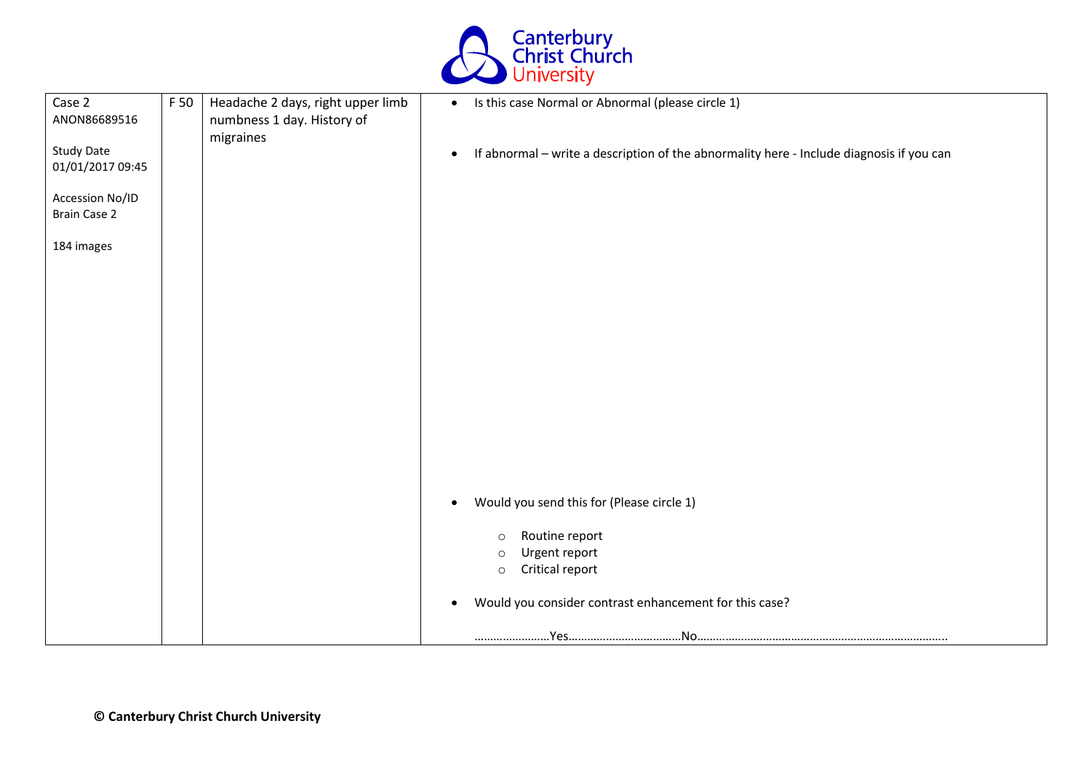

| Case 2<br>ANON86689516                 | F 50 | Headache 2 days, right upper limb<br>numbness 1 day. History of | Is this case Normal or Abnormal (please circle 1)<br>$\bullet$                                        |
|----------------------------------------|------|-----------------------------------------------------------------|-------------------------------------------------------------------------------------------------------|
| <b>Study Date</b><br>01/01/2017 09:45  |      | migraines                                                       | If abnormal - write a description of the abnormality here - Include diagnosis if you can<br>$\bullet$ |
| Accession No/ID<br><b>Brain Case 2</b> |      |                                                                 |                                                                                                       |
| 184 images                             |      |                                                                 |                                                                                                       |
|                                        |      |                                                                 |                                                                                                       |
|                                        |      |                                                                 |                                                                                                       |
|                                        |      |                                                                 |                                                                                                       |
|                                        |      |                                                                 |                                                                                                       |
|                                        |      |                                                                 |                                                                                                       |
|                                        |      |                                                                 | Would you send this for (Please circle 1)<br>$\bullet$                                                |
|                                        |      |                                                                 | Routine report<br>$\circ$                                                                             |
|                                        |      |                                                                 | Urgent report<br>$\circ$<br>Critical report<br>$\circ$                                                |
|                                        |      |                                                                 | Would you consider contrast enhancement for this case?<br>$\bullet$                                   |
|                                        |      |                                                                 |                                                                                                       |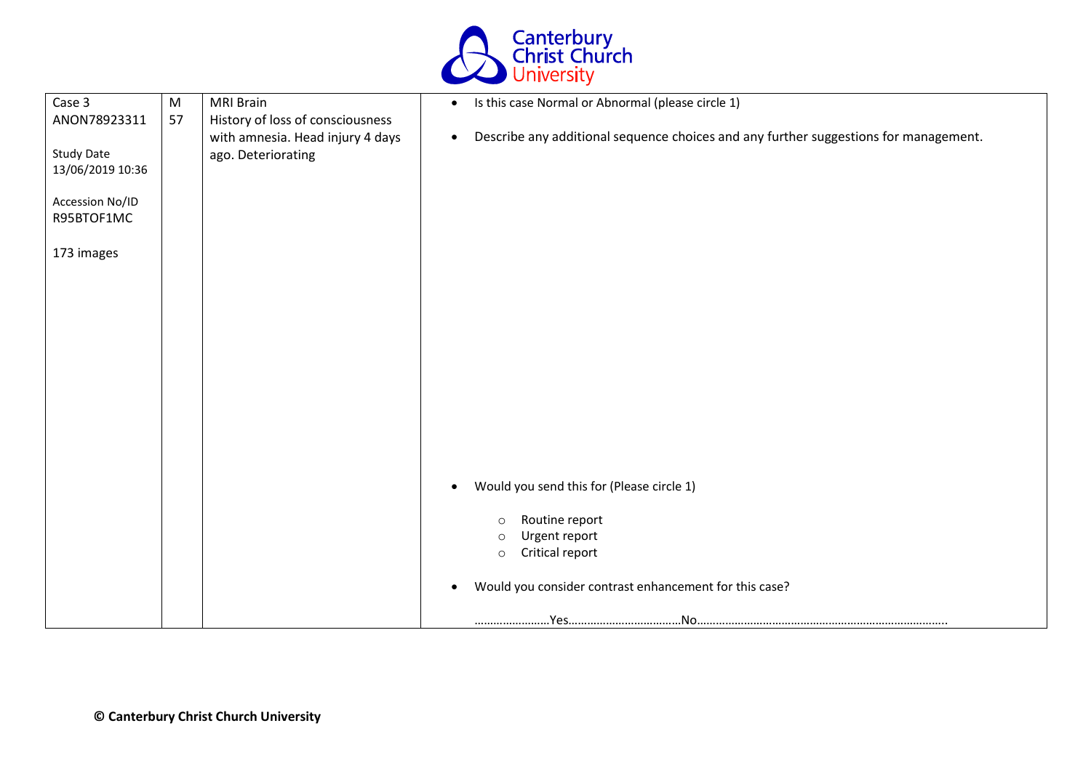

| Case 3            | M  | <b>MRI Brain</b>                 | Is this case Normal or Abnormal (please circle 1)<br>$\bullet$                                    |
|-------------------|----|----------------------------------|---------------------------------------------------------------------------------------------------|
| ANON78923311      | 57 | History of loss of consciousness |                                                                                                   |
|                   |    | with amnesia. Head injury 4 days | Describe any additional sequence choices and any further suggestions for management.<br>$\bullet$ |
| <b>Study Date</b> |    | ago. Deteriorating               |                                                                                                   |
| 13/06/2019 10:36  |    |                                  |                                                                                                   |
| Accession No/ID   |    |                                  |                                                                                                   |
| R95BTOF1MC        |    |                                  |                                                                                                   |
|                   |    |                                  |                                                                                                   |
| 173 images        |    |                                  |                                                                                                   |
|                   |    |                                  |                                                                                                   |
|                   |    |                                  |                                                                                                   |
|                   |    |                                  |                                                                                                   |
|                   |    |                                  |                                                                                                   |
|                   |    |                                  |                                                                                                   |
|                   |    |                                  |                                                                                                   |
|                   |    |                                  |                                                                                                   |
|                   |    |                                  |                                                                                                   |
|                   |    |                                  |                                                                                                   |
|                   |    |                                  |                                                                                                   |
|                   |    |                                  |                                                                                                   |
|                   |    |                                  | Would you send this for (Please circle 1)<br>$\bullet$                                            |
|                   |    |                                  |                                                                                                   |
|                   |    |                                  | Routine report<br>$\circ$                                                                         |
|                   |    |                                  | Urgent report<br>$\circ$                                                                          |
|                   |    |                                  | Critical report<br>$\circ$                                                                        |
|                   |    |                                  | Would you consider contrast enhancement for this case?<br>$\bullet$                               |
|                   |    |                                  |                                                                                                   |